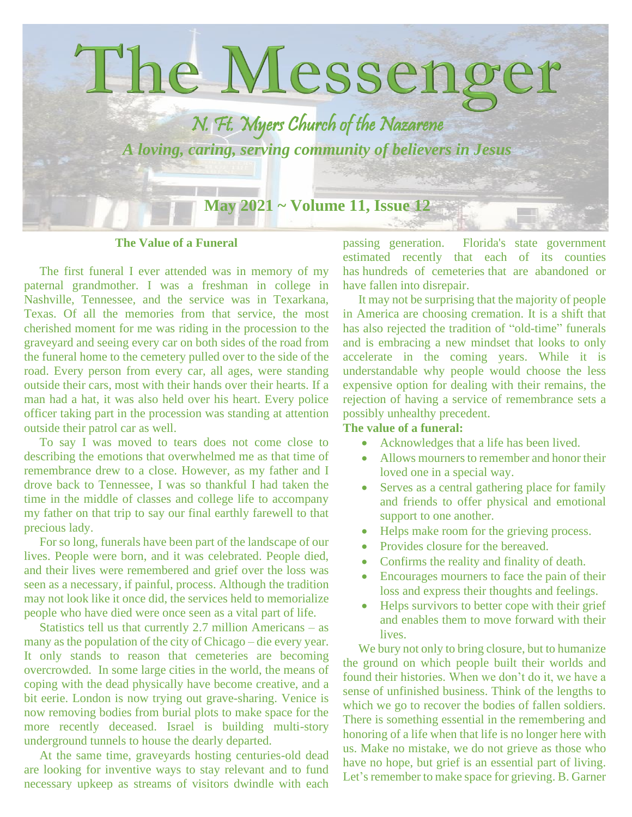

**The Value of a Funeral**

 The first funeral I ever attended was in memory of my paternal grandmother. I was a freshman in college in Nashville, Tennessee, and the service was in Texarkana, Texas. Of all the memories from that service, the most cherished moment for me was riding in the procession to the graveyard and seeing every car on both sides of the road from the funeral home to the cemetery pulled over to the side of the road. Every person from every car, all ages, were standing outside their cars, most with their hands over their hearts. If a man had a hat, it was also held over his heart. Every police officer taking part in the procession was standing at attention outside their patrol car as well.

 To say I was moved to tears does not come close to describing the emotions that overwhelmed me as that time of remembrance drew to a close. However, as my father and I drove back to Tennessee, I was so thankful I had taken the time in the middle of classes and college life to accompany my father on that trip to say our final earthly farewell to that precious lady.

 For so long, funerals have been part of the landscape of our lives. People were born, and it was celebrated. People died, and their lives were remembered and grief over the loss was seen as a necessary, if painful, process. Although the tradition may not look like it once did, the services held to memorialize people who have died were once seen as a vital part of life.

 Statistics tell us that currently 2.7 million Americans – as many as the population of the city of Chicago – die every year. It only stands to reason that cemeteries are becoming overcrowded. In some large cities in the world, the means of coping with the dead physically have become creative, and a bit eerie. London is now trying out grave-sharing. Venice is now removing bodies from burial plots to make space for the more recently deceased. Israel is building multi-story underground tunnels to house the dearly departed.

 At the same time, graveyards hosting centuries-old dead are looking for inventive ways to stay relevant and to fund necessary upkeep as streams of visitors dwindle with each

passing generation. Florida's state government estimated recently that each of its counties has [hundreds of cemeteries](https://dos.myflorida.com/historical/archaeology/human-remains/abandoned-cemeteries/what-are-the-applicable-laws-and-regulations/) that are abandoned or have fallen into disrepair.

 It may not be surprising that the majority of people in America are choosing cremation. It is a shift that has also rejected the tradition of "old-time" funerals and is embracing a new mindset that looks to only accelerate in the coming years. While it is understandable why people would choose the less expensive option for dealing with their remains, the rejection of having a service of remembrance sets a possibly unhealthy precedent.

## **The value of a funeral:**

- Acknowledges that a life has been lived.
- Allows mourners to remember and honor their loved one in a special way.
- Serves as a central gathering place for family and friends to offer physical and emotional support to one another.
- Helps make room for the grieving process.
- Provides closure for the bereaved.
- Confirms the reality and finality of death.
- Encourages mourners to face the pain of their loss and express their thoughts and feelings.
- Helps survivors to better cope with their grief and enables them to move forward with their lives.

 We bury not only to bring closure, but to humanize the ground on which people built their worlds and found their histories. When we don't do it, we have a sense of unfinished business. Think of the lengths to which we go to recover the bodies of fallen soldiers. There is something essential in the remembering and honoring of a life when that life is no longer here with us. Make no mistake, we do not grieve as those who have no hope, but grief is an essential part of living. Let's remember to make space for grieving. B. Garner